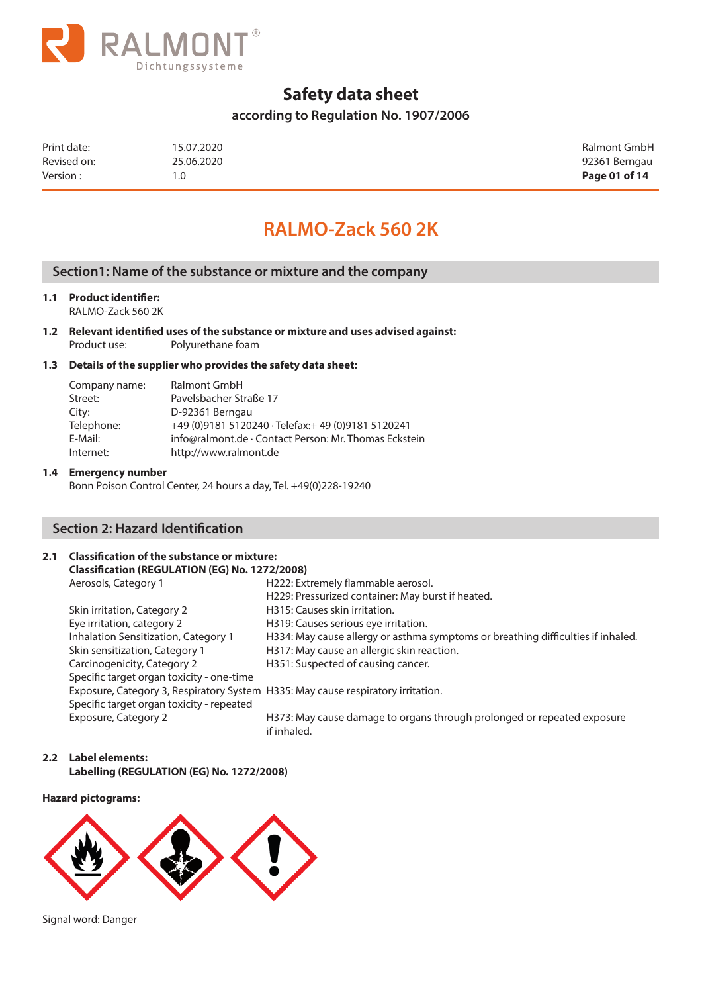

## **according to Regulation No. 1907/2006**

| Print date: | 15.07.2020 | Ralmont GmbH  |
|-------------|------------|---------------|
| Revised on: | 25.06.2020 | 92361 Berngau |
| Version:    | 1.0        | Page 01 of 14 |

# **RALMO-Zack 560 2K**

## **Section1: Name of the substance or mixture and the company**

### **1.1 Product identifier:**

RALMO-Zack 560 2K

**1.2 Relevant identified uses of the substance or mixture and uses advised against:** Product use: Polyurethane foam

#### **1.3 Details of the supplier who provides the safety data sheet:**

| Company name: | <b>Ralmont GmbH</b>                                   |
|---------------|-------------------------------------------------------|
| Street:       | Pavelsbacher Straße 17                                |
| City:         | D-92361 Berngau                                       |
| Telephone:    | +49 (0) 9181 5120240 · Telefax: + 49 (0) 9181 5120241 |
| E-Mail:       | info@ralmont.de · Contact Person: Mr. Thomas Eckstein |
| Internet:     | http://www.ralmont.de                                 |

#### **1.4 Emergency number**

Bonn Poison Control Center, 24 hours a day, Tel. +49(0)228-19240

## **Section 2: Hazard Identification**

## **2.1 Classification of the substance or mixture:**

| Classification (REGULATION (EG) No. 1272/2008)                                   |                                                                                        |
|----------------------------------------------------------------------------------|----------------------------------------------------------------------------------------|
| Aerosols, Category 1                                                             | H222: Extremely flammable aerosol.                                                     |
|                                                                                  | H229: Pressurized container: May burst if heated.                                      |
| Skin irritation, Category 2                                                      | H315: Causes skin irritation.                                                          |
| Eye irritation, category 2                                                       | H319: Causes serious eye irritation.                                                   |
| Inhalation Sensitization, Category 1                                             | H334: May cause allergy or asthma symptoms or breathing difficulties if inhaled.       |
| Skin sensitization, Category 1                                                   | H317: May cause an allergic skin reaction.                                             |
| Carcinogenicity, Category 2                                                      | H351: Suspected of causing cancer.                                                     |
| Specific target organ toxicity - one-time                                        |                                                                                        |
| Exposure, Category 3, Respiratory System H335: May cause respiratory irritation. |                                                                                        |
| Specific target organ toxicity - repeated                                        |                                                                                        |
| Exposure, Category 2                                                             | H373: May cause damage to organs through prolonged or repeated exposure<br>if inhaled. |

#### **2.2 Label elements: Labelling (REGULATION (EG) No. 1272/2008)**

#### **Hazard pictograms:**



Signal word: Danger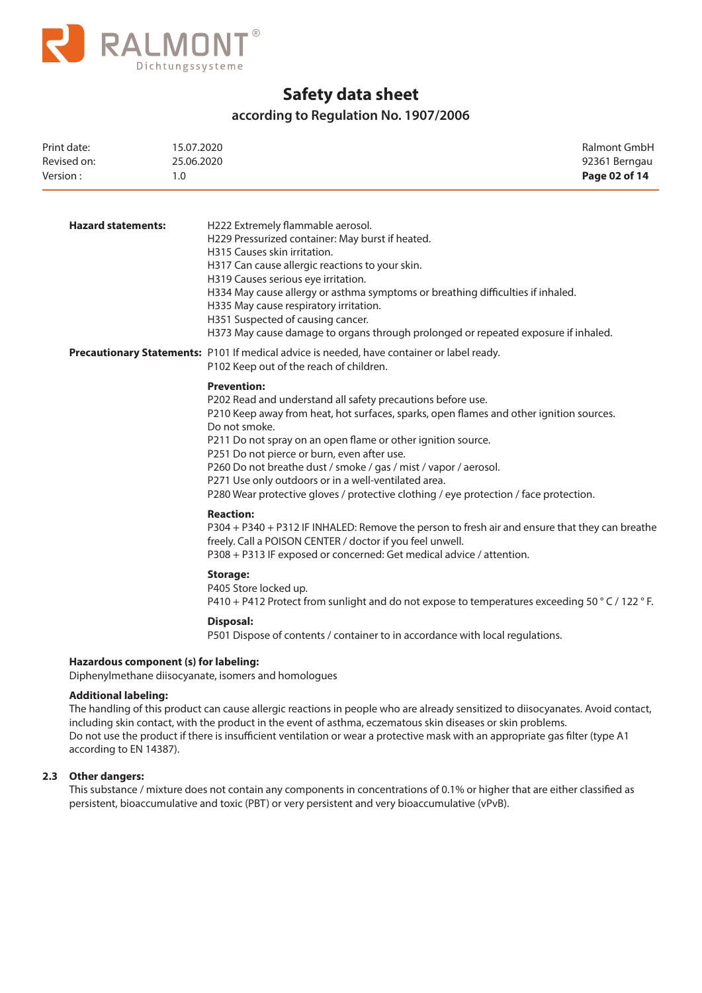

## **according to Regulation No. 1907/2006**

| Print date:<br>Revised on:<br>Version: | 15.07.2020<br>25.06.2020<br>1.0                                                                                                                                                                                                                                                                                                                                                                                                                                                                                                   | Ralmont GmbH<br>92361 Berngau<br>Page 02 of 14 |
|----------------------------------------|-----------------------------------------------------------------------------------------------------------------------------------------------------------------------------------------------------------------------------------------------------------------------------------------------------------------------------------------------------------------------------------------------------------------------------------------------------------------------------------------------------------------------------------|------------------------------------------------|
| <b>Hazard statements:</b>              | H222 Extremely flammable aerosol.<br>H229 Pressurized container: May burst if heated.<br>H315 Causes skin irritation.<br>H317 Can cause allergic reactions to your skin.<br>H319 Causes serious eye irritation.<br>H334 May cause allergy or asthma symptoms or breathing difficulties if inhaled.<br>H335 May cause respiratory irritation.<br>H351 Suspected of causing cancer.<br>H373 May cause damage to organs through prolonged or repeated exposure if inhaled.                                                           |                                                |
|                                        | Precautionary Statements: P101 If medical advice is needed, have container or label ready.<br>P102 Keep out of the reach of children.                                                                                                                                                                                                                                                                                                                                                                                             |                                                |
|                                        | <b>Prevention:</b><br>P202 Read and understand all safety precautions before use.<br>P210 Keep away from heat, hot surfaces, sparks, open flames and other ignition sources.<br>Do not smoke.<br>P211 Do not spray on an open flame or other ignition source.<br>P251 Do not pierce or burn, even after use.<br>P260 Do not breathe dust / smoke / gas / mist / vapor / aerosol.<br>P271 Use only outdoors or in a well-ventilated area.<br>P280 Wear protective gloves / protective clothing / eye protection / face protection. |                                                |
|                                        | <b>Reaction:</b><br>P304 + P340 + P312 IF INHALED: Remove the person to fresh air and ensure that they can breathe<br>freely. Call a POISON CENTER / doctor if you feel unwell.<br>P308 + P313 IF exposed or concerned: Get medical advice / attention.                                                                                                                                                                                                                                                                           |                                                |
|                                        | <b>Storage:</b><br>P405 Store locked up.<br>P410 + P412 Protect from sunlight and do not expose to temperatures exceeding 50 ° C / 122 ° F.                                                                                                                                                                                                                                                                                                                                                                                       |                                                |
|                                        | Disposal:<br>P501 Dispose of contents / container to in accordance with local regulations.                                                                                                                                                                                                                                                                                                                                                                                                                                        |                                                |
| Hazardous component (s) for labeling:  | Diphenylmethane diisocyanate, isomers and homologues                                                                                                                                                                                                                                                                                                                                                                                                                                                                              |                                                |
| <b>Additional labeling:</b>            |                                                                                                                                                                                                                                                                                                                                                                                                                                                                                                                                   |                                                |

 The handling of this product can cause allergic reactions in people who are already sensitized to diisocyanates. Avoid contact, including skin contact, with the product in the event of asthma, eczematous skin diseases or skin problems. Do not use the product if there is insufficient ventilation or wear a protective mask with an appropriate gas filter (type A1 according to EN 14387).

#### **2.3 Other dangers:**

 This substance / mixture does not contain any components in concentrations of 0.1% or higher that are either classified as persistent, bioaccumulative and toxic (PBT) or very persistent and very bioaccumulative (vPvB).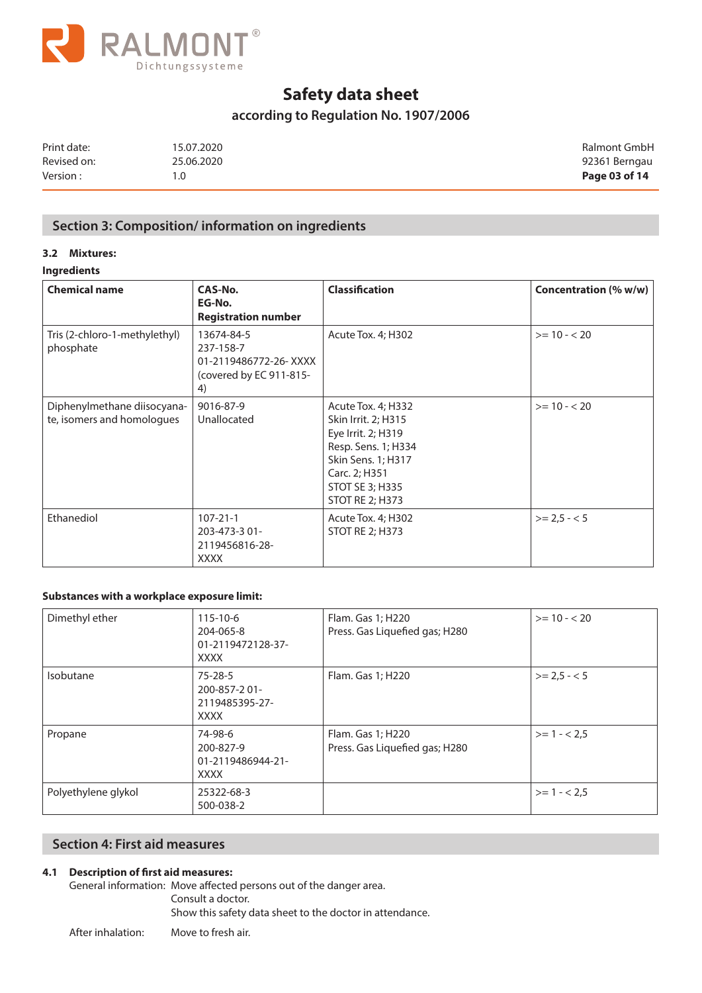

## **according to Regulation No. 1907/2006**

| Print date: | 15.07.2020 | Ralmont GmbH  |
|-------------|------------|---------------|
| Revised on: | 25.06.2020 | 92361 Berngau |
| Version:    | 1.0        | Page 03 of 14 |

## **Section 3: Composition/ information on ingredients**

### **3.2 Mixtures:**

### **Ingredients**

| <b>Chemical name</b>                                      | CAS-No.<br>EG-No.<br><b>Registration number</b>                                   | <b>Classification</b>                                                                                                                                                      | Concentration (% w/w) |
|-----------------------------------------------------------|-----------------------------------------------------------------------------------|----------------------------------------------------------------------------------------------------------------------------------------------------------------------------|-----------------------|
| Tris (2-chloro-1-methylethyl)<br>phosphate                | 13674-84-5<br>237-158-7<br>01-2119486772-26-XXXX<br>(covered by EC 911-815-<br>4) | Acute Tox. 4; H302                                                                                                                                                         | $>= 10 - 20$          |
| Diphenylmethane diisocyana-<br>te, isomers and homologues | 9016-87-9<br>Unallocated                                                          | Acute Tox. 4; H332<br>Skin Irrit. 2; H315<br>Eye Irrit. 2; H319<br>Resp. Sens. 1; H334<br>Skin Sens. 1; H317<br>Carc. 2; H351<br>STOT SE 3; H335<br><b>STOT RE 2; H373</b> | $>= 10 - 20$          |
| Ethanediol                                                | $107 - 21 - 1$<br>203-473-3 01-<br>2119456816-28-<br><b>XXXX</b>                  | Acute Tox. 4; H302<br><b>STOT RE 2; H373</b>                                                                                                                               | $>= 2.5 - 5$          |

### **Substances with a workplace exposure limit:**

| Dimethyl ether      | $115 - 10 - 6$<br>204-065-8<br>01-2119472128-37-<br><b>XXXX</b> | Flam. Gas 1; H220<br>Press. Gas Liquefied gas; H280 | $>= 10 - 20$ |
|---------------------|-----------------------------------------------------------------|-----------------------------------------------------|--------------|
| Isobutane           | $75 - 28 - 5$<br>200-857-201-<br>2119485395-27-<br><b>XXXX</b>  | Flam. Gas 1; H220                                   | $>= 2.5 - 5$ |
| Propane             | 74-98-6<br>200-827-9<br>01-2119486944-21-<br><b>XXXX</b>        | Flam. Gas 1; H220<br>Press. Gas Liquefied gas; H280 | $>= 1 - 2.5$ |
| Polyethylene glykol | 25322-68-3<br>500-038-2                                         |                                                     | $>= 1 - 2.5$ |

## **Section 4: First aid measures**

### **4.1 Description of first aid measures:**

General information: Move affected persons out of the danger area. Consult a doctor. Show this safety data sheet to the doctor in attendance.

After inhalation: Move to fresh air.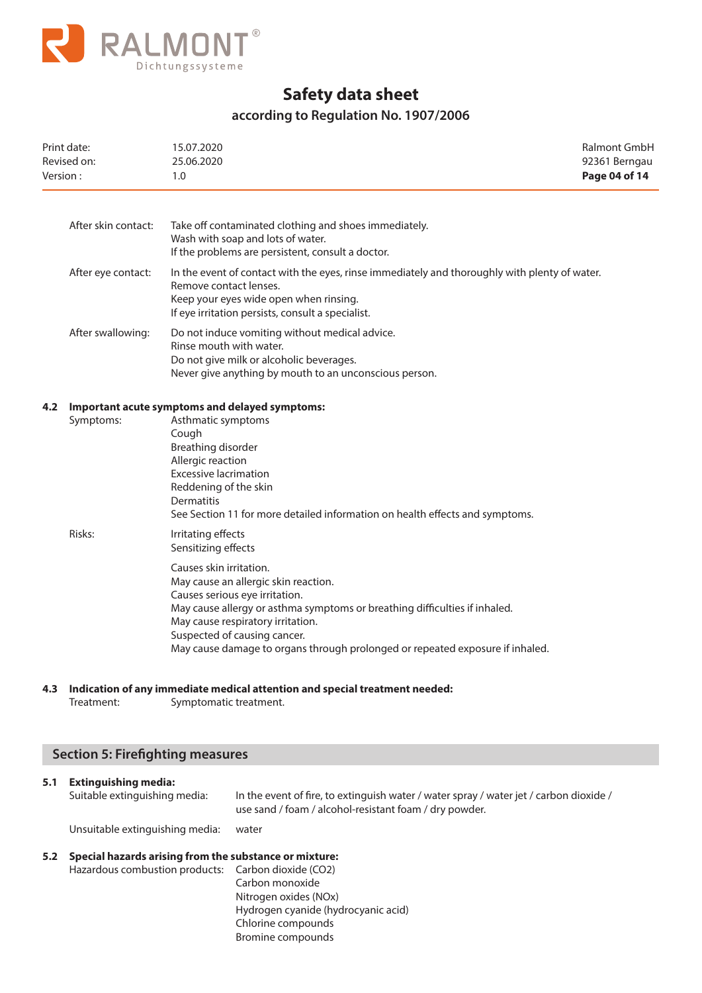

## **according to Regulation No. 1907/2006**

| Print date:<br>Revised on:<br>Version: |                     | Ralmont GmbH<br>15.07.2020<br>92361 Berngau<br>25.06.2020<br>Page 04 of 14<br>1.0                                                                                                                                                                                                                                                     |  |
|----------------------------------------|---------------------|---------------------------------------------------------------------------------------------------------------------------------------------------------------------------------------------------------------------------------------------------------------------------------------------------------------------------------------|--|
|                                        | After skin contact: | Take off contaminated clothing and shoes immediately.<br>Wash with soap and lots of water.<br>If the problems are persistent, consult a doctor.                                                                                                                                                                                       |  |
|                                        | After eye contact:  | In the event of contact with the eyes, rinse immediately and thoroughly with plenty of water.<br>Remove contact lenses.<br>Keep your eyes wide open when rinsing.<br>If eye irritation persists, consult a specialist.                                                                                                                |  |
|                                        | After swallowing:   | Do not induce vomiting without medical advice.<br>Rinse mouth with water.<br>Do not give milk or alcoholic beverages.<br>Never give anything by mouth to an unconscious person.                                                                                                                                                       |  |
| 4.2                                    | Symptoms:           | Important acute symptoms and delayed symptoms:<br>Asthmatic symptoms<br>Cough<br>Breathing disorder<br>Allergic reaction<br><b>Excessive lacrimation</b><br>Reddening of the skin<br>Dermatitis<br>See Section 11 for more detailed information on health effects and symptoms.                                                       |  |
|                                        | Risks:              | Irritating effects<br>Sensitizing effects                                                                                                                                                                                                                                                                                             |  |
|                                        |                     | Causes skin irritation.<br>May cause an allergic skin reaction.<br>Causes serious eye irritation.<br>May cause allergy or asthma symptoms or breathing difficulties if inhaled.<br>May cause respiratory irritation.<br>Suspected of causing cancer.<br>May cause damage to organs through prolonged or repeated exposure if inhaled. |  |
|                                        |                     | A 3 Indication of any immediate medical attention and special treatment needed:                                                                                                                                                                                                                                                       |  |

#### **4.3 Indication of any immediate medical attention and special treatment needed:**

Treatment: Symptomatic treatment.

## **Section 5: Firefighting measures**

# **5.1 Extinguishing media:**

| Suitable extinguishing media:   | In the event of fire, to extinguish water / water spray / water jet / carbon dioxide /<br>use sand / foam / alcohol-resistant foam / dry powder. |
|---------------------------------|--------------------------------------------------------------------------------------------------------------------------------------------------|
| Unsuitable extinguishing media: | water                                                                                                                                            |

#### **5.2 Special hazards arising from the substance or mixture:** Hazardous combustion products: Carbon dioxide (CO2) Carbon monoxide

 Nitrogen oxides (NOx) Hydrogen cyanide (hydrocyanic acid) Chlorine compounds Bromine compounds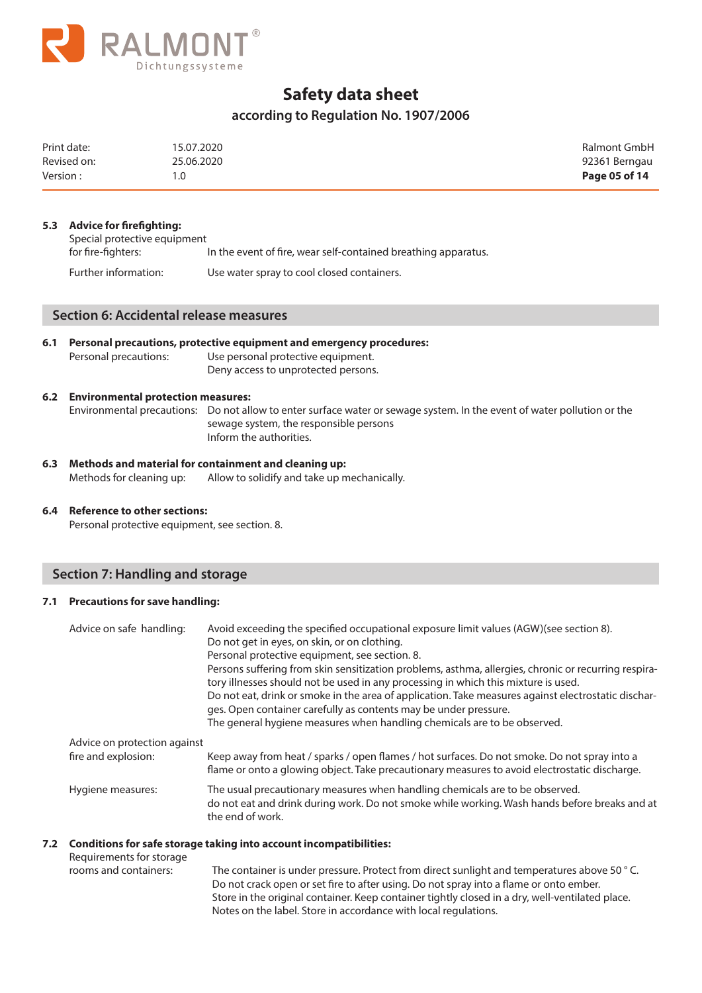

## **according to Regulation No. 1907/2006**

| Print date: | 15.07.2020 | Ralmont GmbH  |
|-------------|------------|---------------|
| Revised on: | 25.06.2020 | 92361 Berngau |
| Version:    |            | Page 05 of 14 |

#### **5.3 Advice for firefighting:**

| Special protective equipment |                                                                |
|------------------------------|----------------------------------------------------------------|
| for fire-fighters:           | In the event of fire, wear self-contained breathing apparatus. |
| Further information:         | Use water spray to cool closed containers.                     |

## **Section 6: Accidental release measures**

| 6.1 | Personal precautions, protective equipment and emergency procedures: |                                     |  |
|-----|----------------------------------------------------------------------|-------------------------------------|--|
|     | Personal precautions:                                                | Use personal protective equipment.  |  |
|     |                                                                      | Deny access to unprotected persons. |  |

#### **6.2 Environmental protection measures:**

Environmental precautions: Do not allow to enter surface water or sewage system. In the event of water pollution or the sewage system, the responsible persons Inform the authorities.

**6.3 Methods and material for containment and cleaning up:**  Methods for cleaning up: Allow to solidify and take up mechanically.

### **6.4 Reference to other sections:**

Personal protective equipment, see section. 8.

## **Section 7: Handling and storage**

#### **7.1 Precautions for save handling:**

| Advice on safe handling:                            | Avoid exceeding the specified occupational exposure limit values (AGW)(see section 8).<br>Do not get in eyes, on skin, or on clothing.<br>Personal protective equipment, see section. 8.<br>Persons suffering from skin sensitization problems, asthma, allergies, chronic or recurring respira-<br>tory illnesses should not be used in any processing in which this mixture is used.<br>Do not eat, drink or smoke in the area of application. Take measures against electrostatic dischar-<br>ges. Open container carefully as contents may be under pressure.<br>The general hygiene measures when handling chemicals are to be observed. |
|-----------------------------------------------------|-----------------------------------------------------------------------------------------------------------------------------------------------------------------------------------------------------------------------------------------------------------------------------------------------------------------------------------------------------------------------------------------------------------------------------------------------------------------------------------------------------------------------------------------------------------------------------------------------------------------------------------------------|
| Advice on protection against<br>fire and explosion: | Keep away from heat / sparks / open flames / hot surfaces. Do not smoke. Do not spray into a<br>flame or onto a glowing object. Take precautionary measures to avoid electrostatic discharge.                                                                                                                                                                                                                                                                                                                                                                                                                                                 |
| Hygiene measures:                                   | The usual precautionary measures when handling chemicals are to be observed.<br>do not eat and drink during work. Do not smoke while working. Wash hands before breaks and at<br>the end of work.                                                                                                                                                                                                                                                                                                                                                                                                                                             |
|                                                     |                                                                                                                                                                                                                                                                                                                                                                                                                                                                                                                                                                                                                                               |

#### **7.2 Conditions for safe storage taking into account incompatibilities:**

| The container is under pressure. Protect from direct sunlight and temperatures above 50 °C.     |
|-------------------------------------------------------------------------------------------------|
| Do not crack open or set fire to after using. Do not spray into a flame or onto ember.          |
| Store in the original container. Keep container tightly closed in a dry, well-ventilated place. |
| Notes on the label. Store in accordance with local regulations.                                 |
|                                                                                                 |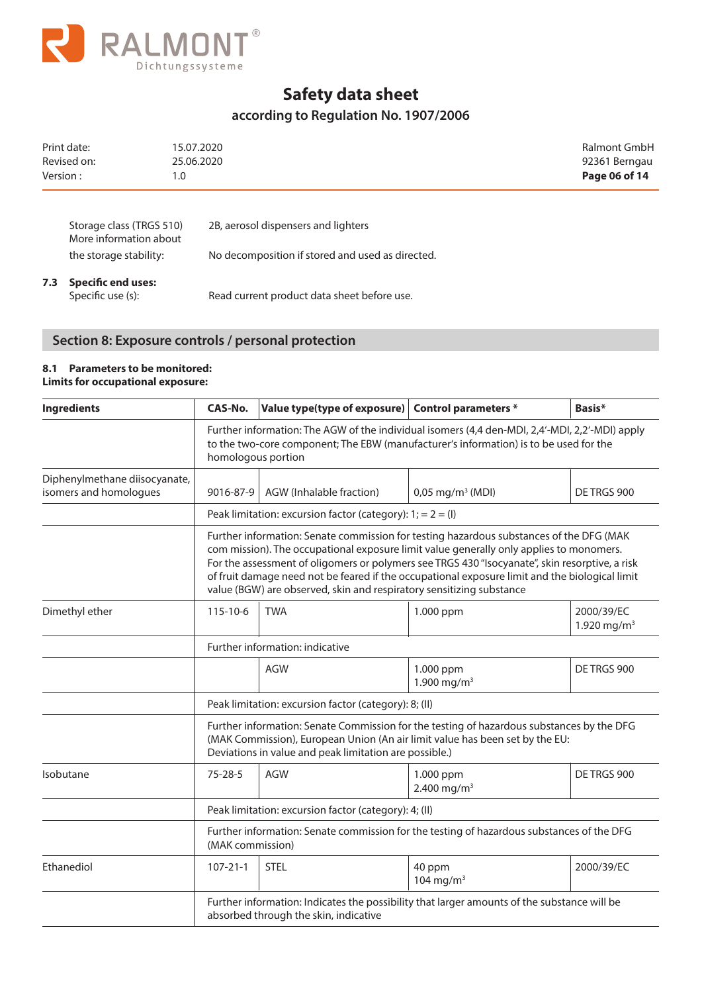

## **according to Regulation No. 1907/2006**

| Print date:<br>Revised on:<br>Version:             | 15.07.2020<br>25.06.2020<br>1.0 |                                                  | Ralmont GmbH<br>92361 Berngau<br>Page 06 of 14 |
|----------------------------------------------------|---------------------------------|--------------------------------------------------|------------------------------------------------|
| Storage class (TRGS 510)<br>More information about |                                 | 2B, aerosol dispensers and lighters              |                                                |
| the storage stability:                             |                                 | No decomposition if stored and used as directed. |                                                |

# **7.3 Specific end uses:**

Read current product data sheet before use.

## **Section 8: Exposure controls / personal protection**

#### **8.1 Parameters to be monitored: Limits for occupational exposure:**

| <b>Ingredients</b>                                      | CAS-No.                                                                                                                                                                                                                                                                                                                                                                                                                                                        | Value type(type of exposure) Control parameters *            |                                      | Basis*                                |  |
|---------------------------------------------------------|----------------------------------------------------------------------------------------------------------------------------------------------------------------------------------------------------------------------------------------------------------------------------------------------------------------------------------------------------------------------------------------------------------------------------------------------------------------|--------------------------------------------------------------|--------------------------------------|---------------------------------------|--|
|                                                         | Further information: The AGW of the individual isomers (4,4 den-MDI, 2,4'-MDI, 2,2'-MDI) apply<br>to the two-core component; The EBW (manufacturer's information) is to be used for the<br>homologous portion                                                                                                                                                                                                                                                  |                                                              |                                      |                                       |  |
| Diphenylmethane diisocyanate,<br>isomers and homologues | 9016-87-9                                                                                                                                                                                                                                                                                                                                                                                                                                                      | AGW (Inhalable fraction)                                     | $0,05 \,\mathrm{mg/m^3}$ (MDI)       | DE TRGS 900                           |  |
|                                                         |                                                                                                                                                                                                                                                                                                                                                                                                                                                                | Peak limitation: excursion factor (category): $1; = 2 = (1)$ |                                      |                                       |  |
|                                                         | Further information: Senate commission for testing hazardous substances of the DFG (MAK<br>com mission). The occupational exposure limit value generally only applies to monomers.<br>For the assessment of oligomers or polymers see TRGS 430 "Isocyanate", skin resorptive, a risk<br>of fruit damage need not be feared if the occupational exposure limit and the biological limit<br>value (BGW) are observed, skin and respiratory sensitizing substance |                                                              |                                      |                                       |  |
| Dimethyl ether                                          | $115 - 10 - 6$                                                                                                                                                                                                                                                                                                                                                                                                                                                 | <b>TWA</b>                                                   | 1.000 ppm                            | 2000/39/EC<br>1.920 mg/m <sup>3</sup> |  |
|                                                         | Further information: indicative                                                                                                                                                                                                                                                                                                                                                                                                                                |                                                              |                                      |                                       |  |
|                                                         |                                                                                                                                                                                                                                                                                                                                                                                                                                                                | <b>AGW</b>                                                   | 1.000 ppm<br>1.900 mg/m <sup>3</sup> | DE TRGS 900                           |  |
|                                                         | Peak limitation: excursion factor (category): 8; (II)                                                                                                                                                                                                                                                                                                                                                                                                          |                                                              |                                      |                                       |  |
|                                                         | Further information: Senate Commission for the testing of hazardous substances by the DFG<br>(MAK Commission), European Union (An air limit value has been set by the EU:<br>Deviations in value and peak limitation are possible.)                                                                                                                                                                                                                            |                                                              |                                      |                                       |  |
| Isobutane                                               | $75 - 28 - 5$                                                                                                                                                                                                                                                                                                                                                                                                                                                  | <b>AGW</b>                                                   | 1.000 ppm<br>2.400 mg/m <sup>3</sup> | DE TRGS 900                           |  |
|                                                         | Peak limitation: excursion factor (category): 4; (II)                                                                                                                                                                                                                                                                                                                                                                                                          |                                                              |                                      |                                       |  |
|                                                         | Further information: Senate commission for the testing of hazardous substances of the DFG<br>(MAK commission)                                                                                                                                                                                                                                                                                                                                                  |                                                              |                                      |                                       |  |
| Ethanediol                                              | $107 - 21 - 1$                                                                                                                                                                                                                                                                                                                                                                                                                                                 | <b>STEL</b>                                                  | 40 ppm<br>104 mg/m <sup>3</sup>      | 2000/39/EC                            |  |
|                                                         | Further information: Indicates the possibility that larger amounts of the substance will be<br>absorbed through the skin, indicative                                                                                                                                                                                                                                                                                                                           |                                                              |                                      |                                       |  |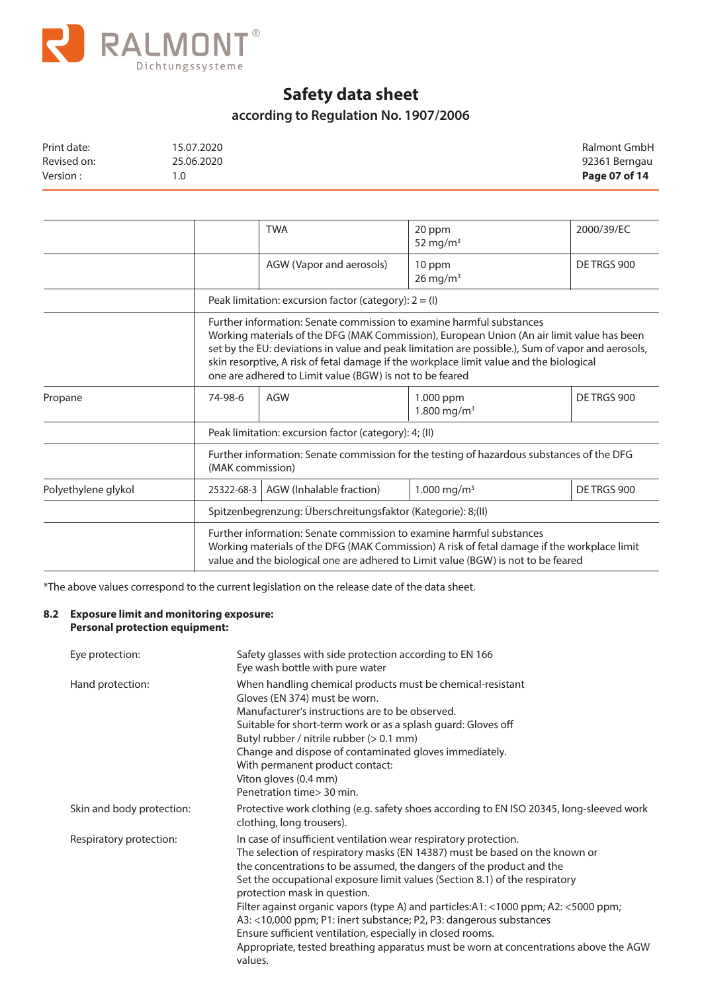

# **according to Regulation No. 1907/2006**

| Print date: | 15.07.2020 | Ralmont GmbH  |
|-------------|------------|---------------|
| Revised on: | 25.06.2020 | 92361 Berngau |
| Version :   | 1.0        | Page 07 of 14 |

|                                                                                                                                                                                                                                                                                                                                                                                                                                |                                                                                                               | <b>TWA</b>                                                                                                                                                                                                                                               | 20 ppm<br>52 mg/m $3$                | 2000/39/EC  |  |  |
|--------------------------------------------------------------------------------------------------------------------------------------------------------------------------------------------------------------------------------------------------------------------------------------------------------------------------------------------------------------------------------------------------------------------------------|---------------------------------------------------------------------------------------------------------------|----------------------------------------------------------------------------------------------------------------------------------------------------------------------------------------------------------------------------------------------------------|--------------------------------------|-------------|--|--|
|                                                                                                                                                                                                                                                                                                                                                                                                                                |                                                                                                               | AGW (Vapor and aerosols)                                                                                                                                                                                                                                 | 10 ppm<br>$26$ mg/m <sup>3</sup>     | DE TRGS 900 |  |  |
|                                                                                                                                                                                                                                                                                                                                                                                                                                |                                                                                                               | Peak limitation: excursion factor (category): $2 = (1)$                                                                                                                                                                                                  |                                      |             |  |  |
| Further information: Senate commission to examine harmful substances<br>Working materials of the DFG (MAK Commission), European Union (An air limit value has been<br>set by the EU: deviations in value and peak limitation are possible.), Sum of vapor and aerosols,<br>skin resorptive, A risk of fetal damage if the workplace limit value and the biological<br>one are adhered to Limit value (BGW) is not to be feared |                                                                                                               |                                                                                                                                                                                                                                                          |                                      |             |  |  |
| Propane                                                                                                                                                                                                                                                                                                                                                                                                                        | 74-98-6                                                                                                       | AGW                                                                                                                                                                                                                                                      | 1.000 ppm<br>1.800 mg/m <sup>3</sup> | DE TRGS 900 |  |  |
|                                                                                                                                                                                                                                                                                                                                                                                                                                | Peak limitation: excursion factor (category): 4; (II)                                                         |                                                                                                                                                                                                                                                          |                                      |             |  |  |
|                                                                                                                                                                                                                                                                                                                                                                                                                                | Further information: Senate commission for the testing of hazardous substances of the DFG<br>(MAK commission) |                                                                                                                                                                                                                                                          |                                      |             |  |  |
| Polyethylene glykol                                                                                                                                                                                                                                                                                                                                                                                                            | 25322-68-3                                                                                                    | AGW (Inhalable fraction)                                                                                                                                                                                                                                 | 1.000 mg/m <sup>3</sup>              | DE TRGS 900 |  |  |
|                                                                                                                                                                                                                                                                                                                                                                                                                                |                                                                                                               | Spitzenbegrenzung: Überschreitungsfaktor (Kategorie): 8;(II)                                                                                                                                                                                             |                                      |             |  |  |
|                                                                                                                                                                                                                                                                                                                                                                                                                                |                                                                                                               | Further information: Senate commission to examine harmful substances<br>Working materials of the DFG (MAK Commission) A risk of fetal damage if the workplace limit<br>value and the biological one are adhered to Limit value (BGW) is not to be feared |                                      |             |  |  |

\*The above values correspond to the current legislation on the release date of the data sheet.

### **8.2 Exposure limit and monitoring exposure: Personal protection equipment:**

| Eye protection:           | Safety glasses with side protection according to EN 166<br>Eye wash bottle with pure water                                                                                                                                                                                                                                                                                                                                                                                                                                                                                                                                                                           |
|---------------------------|----------------------------------------------------------------------------------------------------------------------------------------------------------------------------------------------------------------------------------------------------------------------------------------------------------------------------------------------------------------------------------------------------------------------------------------------------------------------------------------------------------------------------------------------------------------------------------------------------------------------------------------------------------------------|
| Hand protection:          | When handling chemical products must be chemical-resistant<br>Gloves (EN 374) must be worn.<br>Manufacturer's instructions are to be observed.<br>Suitable for short-term work or as a splash guard: Gloves off<br>Butyl rubber / nitrile rubber (> 0.1 mm)<br>Change and dispose of contaminated gloves immediately.<br>With permanent product contact:<br>Viton gloves (0.4 mm)<br>Penetration time > 30 min.                                                                                                                                                                                                                                                      |
| Skin and body protection: | Protective work clothing (e.g. safety shoes according to EN ISO 20345, long-sleeved work<br>clothing, long trousers).                                                                                                                                                                                                                                                                                                                                                                                                                                                                                                                                                |
| Respiratory protection:   | In case of insufficient ventilation wear respiratory protection.<br>The selection of respiratory masks (EN 14387) must be based on the known or<br>the concentrations to be assumed, the dangers of the product and the<br>Set the occupational exposure limit values (Section 8.1) of the respiratory<br>protection mask in question.<br>Filter against organic vapors (type A) and particles: A1: <1000 ppm; A2: <5000 ppm;<br>A3: <10,000 ppm; P1: inert substance; P2, P3: dangerous substances<br>Ensure sufficient ventilation, especially in closed rooms.<br>Appropriate, tested breathing apparatus must be worn at concentrations above the AGW<br>values. |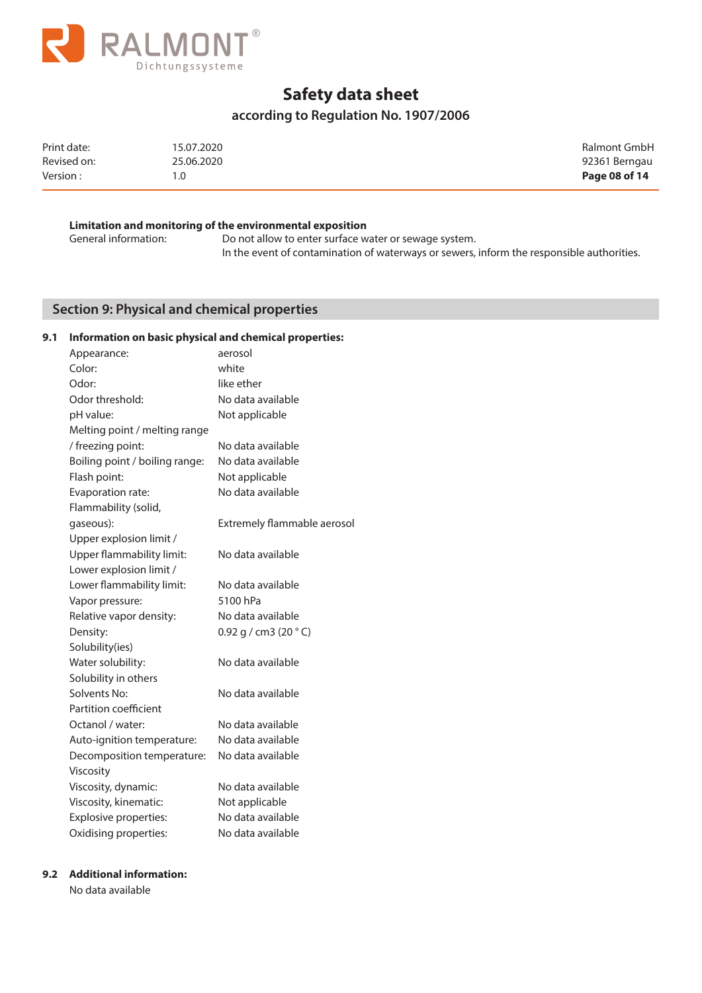

## **according to Regulation No. 1907/2006**

| Print date: | 15.07.2020 | Ralmont GmbH  |
|-------------|------------|---------------|
| Revised on: | 25.06.2020 | 92361 Berngau |
| Version:    | 1.0        | Page 08 of 14 |

### **Limitation and monitoring of the environmental exposition**

General information: Do not allow to enter surface water or sewage system. In the event of contamination of waterways or sewers, inform the responsible authorities.

## **Section 9: Physical and chemical properties**

### **9.1 Information on basic physical and chemical properties:**

| Appearance:                    | aerosol                          |
|--------------------------------|----------------------------------|
| Color:                         | white                            |
| Odor:                          | like ether                       |
| Odor threshold:                | No data available                |
| pH value:                      | Not applicable                   |
| Melting point / melting range  |                                  |
| / freezing point:              | No data available                |
| Boiling point / boiling range: | No data available                |
| Flash point:                   | Not applicable                   |
| Evaporation rate:              | No data available                |
| Flammability (solid,           |                                  |
| gaseous):                      | Extremely flammable aerosol      |
| Upper explosion limit /        |                                  |
| Upper flammability limit:      | No data available                |
| Lower explosion limit /        |                                  |
| Lower flammability limit:      | No data available                |
| Vapor pressure:                | 5100 hPa                         |
| Relative vapor density:        | No data available                |
| Density:                       | $0.92$ g / cm3 (20 $^{\circ}$ C) |
| Solubility(ies)                |                                  |
| Water solubility:              | No data available                |
| Solubility in others           |                                  |
| Solvents No:                   | No data available                |
| Partition coefficient          |                                  |
| Octanol / water:               | No data available                |
| Auto-ignition temperature:     | No data available                |
| Decomposition temperature:     | No data available                |
| Viscosity                      |                                  |
| Viscosity, dynamic:            | No data available                |
| Viscosity, kinematic:          | Not applicable                   |
| Explosive properties:          | No data available                |
| Oxidising properties:          | No data available                |

#### **9.2 Additional information:**

No data available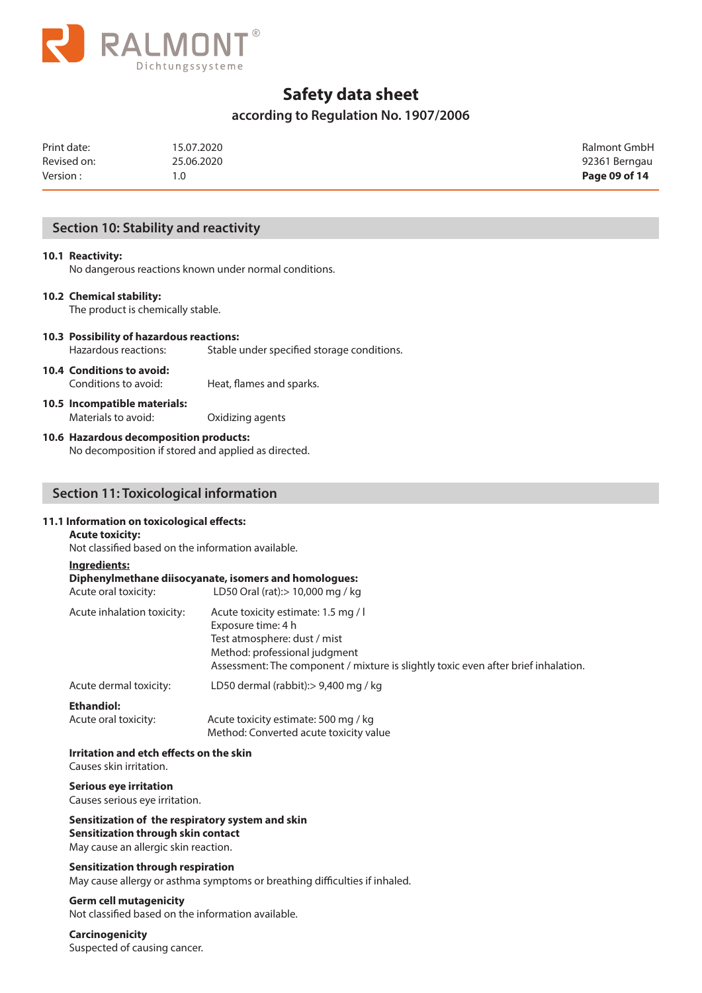

## **according to Regulation No. 1907/2006**

| Print date: | 15.07.2020 | Ralmont GmbH  |
|-------------|------------|---------------|
| Revised on: | 25.06.2020 | 92361 Berngau |
| Version:    | 1.0        | Page 09 of 14 |

## **Section 10: Stability and reactivity**

#### **10.1 Reactivity:**

No dangerous reactions known under normal conditions.

#### **10.2 Chemical stability:**

The product is chemically stable.

- **10.3 Possibility of hazardous reactions:** Hazardous reactions: Stable under specified storage conditions.
- **10.4 Conditions to avoid:** Conditions to avoid: Heat, flames and sparks.

**10.5 Incompatible materials:** Materials to avoid: Oxidizing agents

#### **10.6 Hazardous decomposition products:**

No decomposition if stored and applied as directed.

## **Section 11: Toxicological information**

## **11.1 Information on toxicological effects:**

## **Acute toxicity:**

Not classified based on the information available.

- **Ingredients:**
- **Diphenylmethane diisocyanate, isomers and homologues:** Acute oral toxicity: LD50 Oral (rat):> 10,000 mg / kg

| Acute inhalation toxicity: | Acute toxicity estimate: 1.5 mg / l<br>Exposure time: 4 h<br>Test atmosphere: dust / mist<br>Method: professional judgment<br>Assessment: The component / mixture is slightly toxic even after brief inhalation. |
|----------------------------|------------------------------------------------------------------------------------------------------------------------------------------------------------------------------------------------------------------|
| Acute dermal toxicity:     | LD50 dermal (rabbit): > 9,400 mg / kg                                                                                                                                                                            |
| <b>Ethandiol:</b>          |                                                                                                                                                                                                                  |

| Acute oral toxicity: | Acute toxicity estimate: 500 mg / kg   |
|----------------------|----------------------------------------|
|                      | Method: Converted acute toxicity value |

### **Irritation and etch effects on the skin**

Causes skin irritation.

### **Serious eye irritation**

Causes serious eye irritation.

#### **Sensitization of the respiratory system and skin Sensitization through skin contact** May cause an allergic skin reaction.

**Sensitization through respiration** May cause allergy or asthma symptoms or breathing difficulties if inhaled.

#### **Germ cell mutagenicity**

Not classified based on the information available.

#### **Carcinogenicity**

Suspected of causing cancer.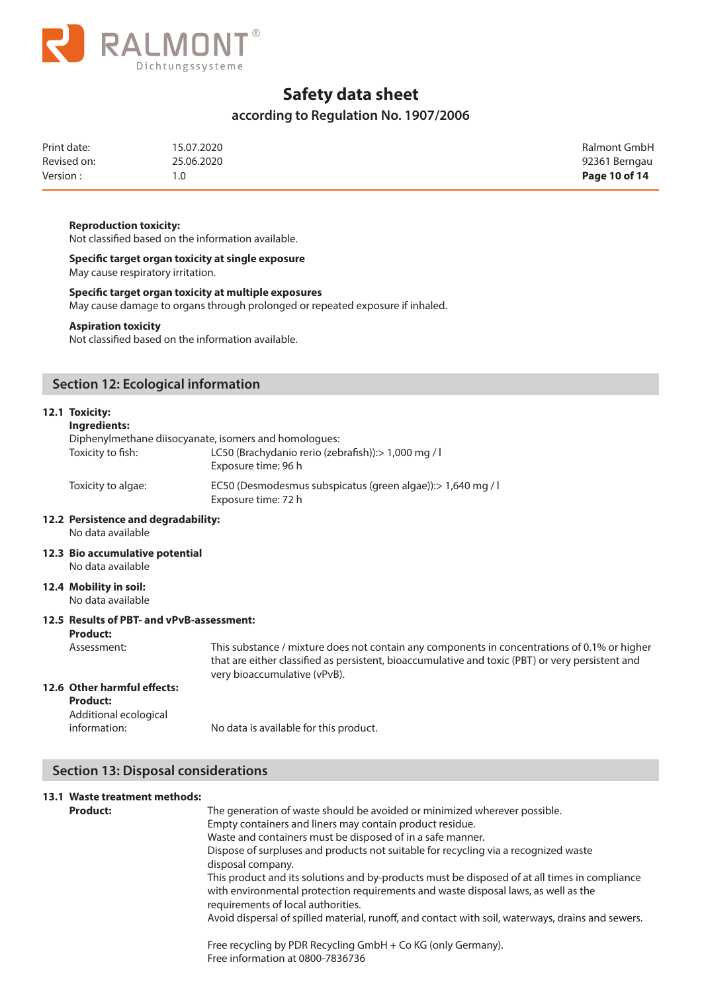

## **according to Regulation No. 1907/2006**

| Print date: | 15.07.2020 | Ralmont GmbH  |
|-------------|------------|---------------|
| Revised on: | 25.06.2020 | 92361 Berngau |
| Version:    | 1.0        | Page 10 of 14 |

#### **Reproduction toxicity:**

Not classified based on the information available.

**Specific target organ toxicity at single exposure** May cause respiratory irritation.

**Specific target organ toxicity at multiple exposures**

May cause damage to organs through prolonged or repeated exposure if inhaled.

#### **Aspiration toxicity**

Not classified based on the information available.

## **Section 12: Ecological information**

#### **12.1 Toxicity:**

#### **Ingredients:**

| Diphenylmethane diisocyanate, isomers and homologues: |                    |                                                                                     |
|-------------------------------------------------------|--------------------|-------------------------------------------------------------------------------------|
|                                                       | Toxicity to fish:  | LC50 (Brachydanio rerio (zebrafish)): > 1,000 mg / l<br>Exposure time: 96 h         |
|                                                       | Toxicity to algae: | EC50 (Desmodesmus subspicatus (green algae)): > 1,640 mg / l<br>Exposure time: 72 h |

#### **12.2 Persistence and degradability:**  No data available

**12.3 Bio accumulative potential** No data available

#### **12.4 Mobility in soil:**

No data available

### **12.5 Results of PBT- and vPvB-assessment:**

**Product:**

Assessment: This substance / mixture does not contain any components in concentrations of 0.1% or higher that are either classified as persistent, bioaccumulative and toxic (PBT) or very persistent and very bioaccumulative (vPvB).

## **12.6 Other harmful effects:**

**Product:** Additional ecological

information: No data is available for this product.

### **Section 13: Disposal considerations**

### **13.1 Waste treatment methods:**

| <b>Product:</b> | The generation of waste should be avoided or minimized wherever possible.<br>Empty containers and liners may contain product residue.                                                                                     |
|-----------------|---------------------------------------------------------------------------------------------------------------------------------------------------------------------------------------------------------------------------|
|                 | Waste and containers must be disposed of in a safe manner.                                                                                                                                                                |
|                 | Dispose of surpluses and products not suitable for recycling via a recognized waste<br>disposal company.                                                                                                                  |
|                 | This product and its solutions and by-products must be disposed of at all times in compliance<br>with environmental protection requirements and waste disposal laws, as well as the<br>requirements of local authorities. |
|                 | Avoid dispersal of spilled material, runoff, and contact with soil, waterways, drains and sewers.                                                                                                                         |
|                 | Free recycling by PDR Recycling GmbH + Co KG (only Germany).                                                                                                                                                              |
|                 | Free information at 0800-7836736                                                                                                                                                                                          |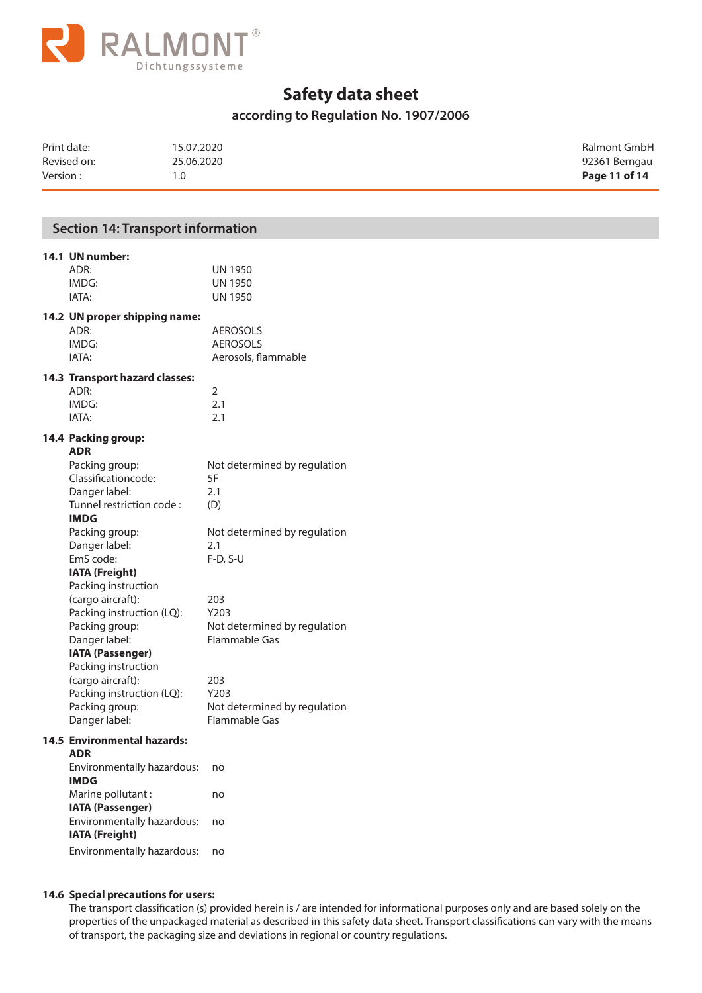

## **according to Regulation No. 1907/2006**

| Print date: | 15.07.2020 | Ralmont GmbH  |
|-------------|------------|---------------|
| Revised on: | 25.06.2020 | 92361 Berngau |
| Version:    | 1.0        | Page 11 of 14 |

## **Section 14: Transport information**

## **14.1 UN number:**

| 14.2 UN proper shipping name: |         |
|-------------------------------|---------|
| IATA:                         | UN 1950 |
| IMDG:                         | UN 1950 |
| ADR:                          | UN 1950 |
|                               |         |

| UN proper simpping name. |                     |
|--------------------------|---------------------|
| ADR:                     | <b>AEROSOLS</b>     |
| IMDG:                    | <b>AEROSOLS</b>     |
| IATA:                    | Aerosols, flammable |

#### **14.3 Transport hazard classes:**

| ADR:  |     |
|-------|-----|
| IMDG: | 2.1 |
| IATA: | 2.1 |

#### **14.4 Packing group:**

| <b>ADR</b>                |                              |
|---------------------------|------------------------------|
| Packing group:            | Not determined by regulation |
| Classificationcode:       | 5F                           |
| Danger label:             | 2.1                          |
| Tunnel restriction code:  | (D)                          |
| <b>IMDG</b>               |                              |
| Packing group:            | Not determined by regulation |
| Danger label:             | 2.1                          |
| EmS code:                 | F-D, S-U                     |
| IATA (Freight)            |                              |
| Packing instruction       |                              |
| (cargo aircraft):         | 203                          |
| Packing instruction (LQ): | Y203                         |
| Packing group:            | Not determined by regulation |
| Danger label:             | Flammable Gas                |
| <b>IATA (Passenger)</b>   |                              |
| Packing instruction       |                              |
| (cargo aircraft):         | 203                          |
| Packing instruction (LQ): | Y203                         |
| Packing group:            | Not determined by regulation |
| Danger label:             | Flammable Gas                |
| Environmental hazards     |                              |

#### **14.5 Environmental hazards:**

| ADR                        |    |
|----------------------------|----|
| Environmentally hazardous: | no |
| <b>IMDG</b>                |    |
| Marine pollutant:          | no |
| <b>IATA (Passenger)</b>    |    |
| Environmentally hazardous: | no |
| IATA (Freight)             |    |
|                            |    |

Environmentally hazardous: no

#### **14.6 Special precautions for users:**

 The transport classification (s) provided herein is / are intended for informational purposes only and are based solely on the properties of the unpackaged material as described in this safety data sheet. Transport classifications can vary with the means of transport, the packaging size and deviations in regional or country regulations.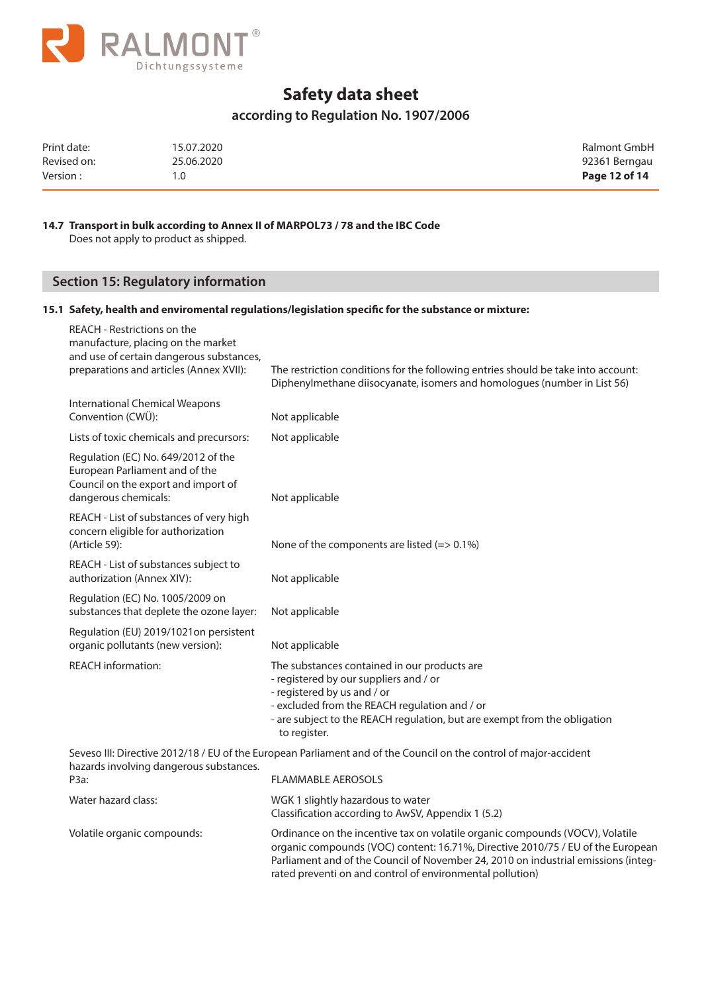

## **according to Regulation No. 1907/2006**

| Print date: | 15.07.2020 | Ralmont GmbH  |
|-------------|------------|---------------|
| Revised on: | 25.06.2020 | 92361 Berngau |
| Version:    | 1.0        | Page 12 of 14 |

### **14.7 Transport in bulk according to Annex II of MARPOL73 / 78 and the IBC Code**

Does not apply to product as shipped.

## **Section 15: Regulatory information**

## **15.1 Safety, health and enviromental regulations/legislation specific for the substance or mixture:**

| REACH - Restrictions on the<br>manufacture, placing on the market<br>and use of certain dangerous substances,<br>preparations and articles (Annex XVII): | The restriction conditions for the following entries should be take into account:<br>Diphenylmethane diisocyanate, isomers and homologues (number in List 56)                                                                                                       |
|----------------------------------------------------------------------------------------------------------------------------------------------------------|---------------------------------------------------------------------------------------------------------------------------------------------------------------------------------------------------------------------------------------------------------------------|
| <b>International Chemical Weapons</b><br>Convention (CWÜ):                                                                                               | Not applicable                                                                                                                                                                                                                                                      |
| Lists of toxic chemicals and precursors:                                                                                                                 | Not applicable                                                                                                                                                                                                                                                      |
| Regulation (EC) No. 649/2012 of the<br>European Parliament and of the<br>Council on the export and import of<br>dangerous chemicals:                     | Not applicable                                                                                                                                                                                                                                                      |
| REACH - List of substances of very high<br>concern eligible for authorization<br>(Article 59):                                                           | None of the components are listed $(=> 0.1\%)$                                                                                                                                                                                                                      |
| REACH - List of substances subject to<br>authorization (Annex XIV):                                                                                      | Not applicable                                                                                                                                                                                                                                                      |
| Regulation (EC) No. 1005/2009 on<br>substances that deplete the ozone layer:                                                                             | Not applicable                                                                                                                                                                                                                                                      |
| Regulation (EU) 2019/1021on persistent<br>organic pollutants (new version):                                                                              | Not applicable                                                                                                                                                                                                                                                      |
| <b>REACH</b> information:                                                                                                                                | The substances contained in our products are<br>- registered by our suppliers and / or<br>- registered by us and / or<br>- excluded from the REACH regulation and / or<br>- are subject to the REACH regulation, but are exempt from the obligation<br>to register. |
| hazards involving dangerous substances.                                                                                                                  | Seveso III: Directive 2012/18 / EU of the European Parliament and of the Council on the control of major-accident                                                                                                                                                   |
| P <sub>3</sub> a:                                                                                                                                        | <b>FLAMMABLE AEROSOLS</b>                                                                                                                                                                                                                                           |
| Water hazard class:                                                                                                                                      | WGK 1 slightly hazardous to water<br>Classification according to AwSV, Appendix 1 (5.2)                                                                                                                                                                             |
| Volatile organic compounds:                                                                                                                              | Ordinance on the incentive tax on volatile organic compounds (VOCV), Volatile<br>organic compounds (VOC) content: 16.71%, Directive 2010/75 / EU of the European                                                                                                    |

Parliament and of the Council of November 24, 2010 on industrial emissions (integ-

rated preventi on and control of environmental pollution)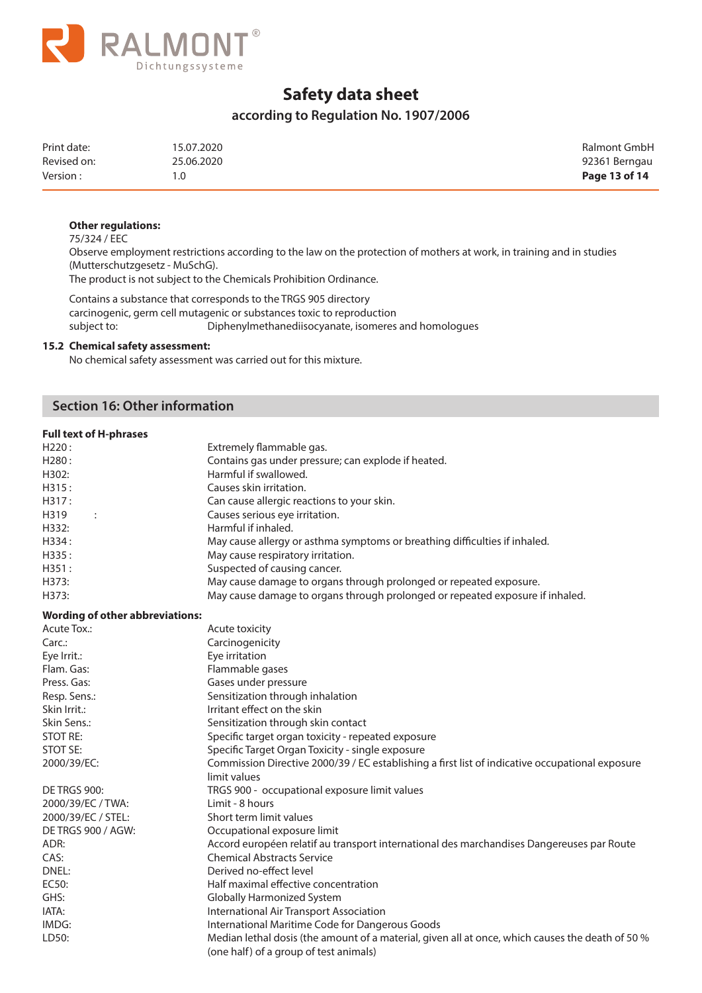

## **according to Regulation No. 1907/2006**

| Print date: | 15.07.2020 | Ralmont GmbH  |
|-------------|------------|---------------|
| Revised on: | 25.06.2020 | 92361 Berngau |
| Version:    |            | Page 13 of 14 |

#### **Other regulations:**

75/324 / EEC

 Observe employment restrictions according to the law on the protection of mothers at work, in training and in studies (Mutterschutzgesetz - MuSchG).

The product is not subject to the Chemicals Prohibition Ordinance.

 Contains a substance that corresponds to the TRGS 905 directory carcinogenic, germ cell mutagenic or substances toxic to reproduction subject to: Diphenylmethanediisocyanate, isomeres and homologues

#### **15.2 Chemical safety assessment:**

No chemical safety assessment was carried out for this mixture.

## **Section 16: Other information**

| <b>Full text of H-phrases</b> |                                                                               |
|-------------------------------|-------------------------------------------------------------------------------|
| H220:                         | Extremely flammable gas.                                                      |
| H280:                         | Contains gas under pressure; can explode if heated.                           |
| H302:                         | Harmful if swallowed.                                                         |
| H315:                         | Causes skin irritation.                                                       |
| H317:                         | Can cause allergic reactions to your skin.                                    |
| H319<br>$\cdot$               | Causes serious eye irritation.                                                |
| H332:                         | Harmful if inhaled.                                                           |
| H334:                         | May cause allergy or asthma symptoms or breathing difficulties if inhaled.    |
| H335:                         | May cause respiratory irritation.                                             |
| H351:                         | Suspected of causing cancer.                                                  |
| H373:                         | May cause damage to organs through prolonged or repeated exposure.            |
| H373:                         | May cause damage to organs through prolonged or repeated exposure if inhaled. |
|                               |                                                                               |

#### **Wording of other abbreviations:**

| Acute Tox.:               | Acute toxicity                                                                                   |  |  |  |
|---------------------------|--------------------------------------------------------------------------------------------------|--|--|--|
| $Carc$ :                  | Carcinogenicity                                                                                  |  |  |  |
| Eye Irrit.:               | Eye irritation                                                                                   |  |  |  |
| Flam. Gas:                | Flammable gases                                                                                  |  |  |  |
| Press. Gas:               | Gases under pressure                                                                             |  |  |  |
| Resp. Sens.:              | Sensitization through inhalation                                                                 |  |  |  |
| Skin Irrit.:              | Irritant effect on the skin                                                                      |  |  |  |
| Skin Sens.:               | Sensitization through skin contact                                                               |  |  |  |
| <b>STOT RE:</b>           | Specific target organ toxicity - repeated exposure                                               |  |  |  |
| STOT SE:                  | Specific Target Organ Toxicity - single exposure                                                 |  |  |  |
| 2000/39/EC:               | Commission Directive 2000/39 / EC establishing a first list of indicative occupational exposure  |  |  |  |
|                           | limit values                                                                                     |  |  |  |
| <b>DE TRGS 900:</b>       | TRGS 900 - occupational exposure limit values                                                    |  |  |  |
| 2000/39/EC / TWA:         | Limit - 8 hours                                                                                  |  |  |  |
| 2000/39/EC / STEL:        | Short term limit values                                                                          |  |  |  |
| <b>DE TRGS 900 / AGW:</b> | Occupational exposure limit                                                                      |  |  |  |
| ADR:                      | Accord européen relatif au transport international des marchandises Dangereuses par Route        |  |  |  |
| CAS:                      | <b>Chemical Abstracts Service</b>                                                                |  |  |  |
| DNEL:                     | Derived no-effect level                                                                          |  |  |  |
| EC50:                     | Half maximal effective concentration                                                             |  |  |  |
| GHS:                      | Globally Harmonized System                                                                       |  |  |  |
| IATA:                     | International Air Transport Association                                                          |  |  |  |
| IMDG:                     | International Maritime Code for Dangerous Goods                                                  |  |  |  |
| LD50:                     | Median lethal dosis (the amount of a material, given all at once, which causes the death of 50 % |  |  |  |
|                           | (one half) of a group of test animals)                                                           |  |  |  |